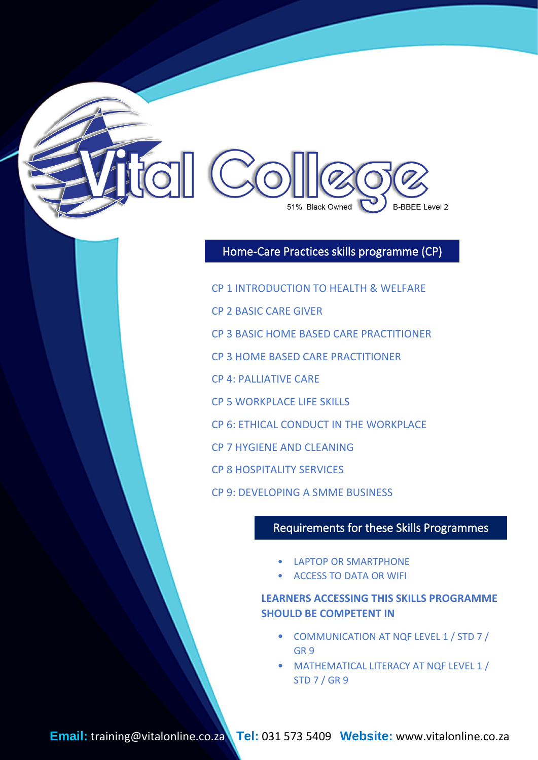

## Home-Care Practices skills programme (CP)

- CP 1 INTRODUCTION TO HEALTH & WELFARE
- CP 2 BASIC CARE GIVER
- CP 3 BASIC HOME BASED CARE PRACTITIONER
- CP 3 HOME BASED CARE PRACTITIONER
- CP 4: PALLIATIVE CARE
- CP 5 WORKPLACE LIFE SKILLS
- CP 6: ETHICAL CONDUCT IN THE WORKPLACE

I

- CP 7 HYGIENE AND CLEANING
- CP 8 HOSPITALITY SERVICES
- CP 9: DEVELOPING A SMME BUSINESS

#### Requirements for these Skills Programmes

- **LAPTOP OR SMARTPHONE**
- ACCESS TO DATA OR WIFI

#### **LEARNERS ACCESSING THIS SKILLS PROGRAMME SHOULD BE COMPETENT IN**

- COMMUNICATION AT NQF LEVEL 1 / STD 7 / GR 9
- MATHEMATICAL LITERACY AT NQF LEVEL 1 / STD 7 / GR 9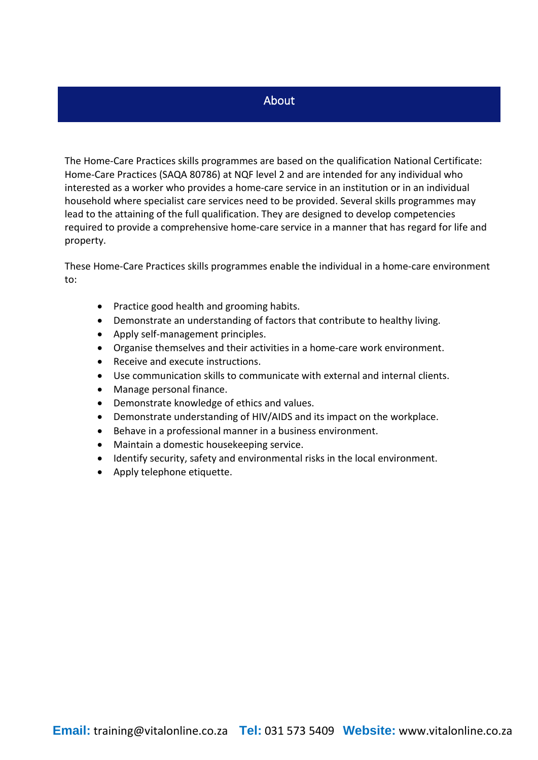#### About

The Home-Care Practices skills programmes are based on the qualification National Certificate: Home-Care Practices (SAQA 80786) at NQF level 2 and are intended for any individual who interested as a worker who provides a home-care service in an institution or in an individual household where specialist care services need to be provided. Several skills programmes may lead to the attaining of the full qualification. They are designed to develop competencies required to provide a comprehensive home-care service in a manner that has regard for life and property.

These Home-Care Practices skills programmes enable the individual in a home-care environment to:

- Practice good health and grooming habits.
- Demonstrate an understanding of factors that contribute to healthy living.
- Apply self-management principles.
- Organise themselves and their activities in a home-care work environment.
- Receive and execute instructions.
- Use communication skills to communicate with external and internal clients.
- Manage personal finance.
- Demonstrate knowledge of ethics and values.
- Demonstrate understanding of HIV/AIDS and its impact on the workplace.
- Behave in a professional manner in a business environment.
- Maintain a domestic housekeeping service.
- Identify security, safety and environmental risks in the local environment.
- Apply telephone etiquette.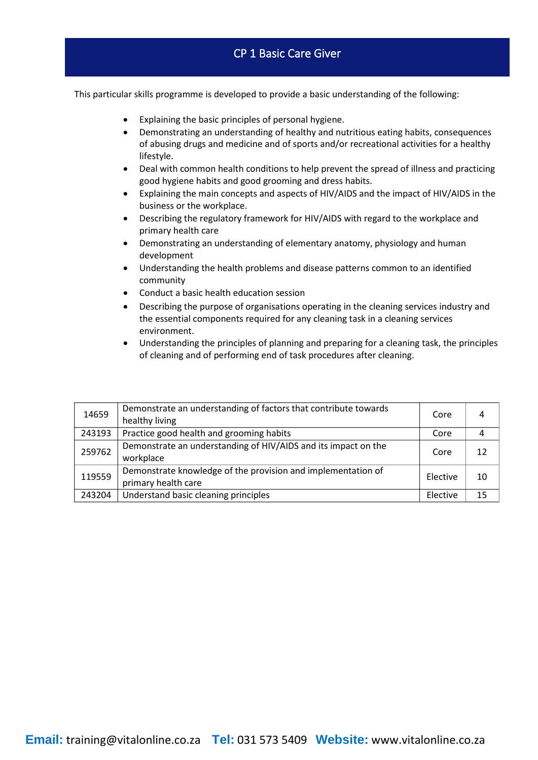- Explaining the basic principles of personal hygiene.
- Demonstrating an understanding of healthy and nutritious eating habits, consequences of abusing drugs and medicine and of sports and/or recreational activities for a healthy lifestyle.
- Deal with common health conditions to help prevent the spread of illness and practicing good hygiene habits and good grooming and dress habits.
- Explaining the main concepts and aspects of HIV/AIDS and the impact of HIV/AIDS in the business or the workplace.
- Describing the regulatory framework for HIV/AIDS with regard to the workplace and primary health care
- Demonstrating an understanding of elementary anatomy, physiology and human development
- Understanding the health problems and disease patterns common to an identified community
- Conduct a basic health education session
- Describing the purpose of organisations operating in the cleaning services industry and the essential components required for any cleaning task in a cleaning services environment.
- Understanding the principles of planning and preparing for a cleaning task, the principles of cleaning and of performing end of task procedures after cleaning.

| 14659  | Demonstrate an understanding of factors that contribute towards<br>healthy living   | Core     | 4  |
|--------|-------------------------------------------------------------------------------------|----------|----|
| 243193 | Practice good health and grooming habits                                            | Core     | 4  |
| 259762 | Demonstrate an understanding of HIV/AIDS and its impact on the<br>workplace         | Core     | 12 |
| 119559 | Demonstrate knowledge of the provision and implementation of<br>primary health care | Elective | 10 |
| 243204 | Understand basic cleaning principles                                                | Elective | 15 |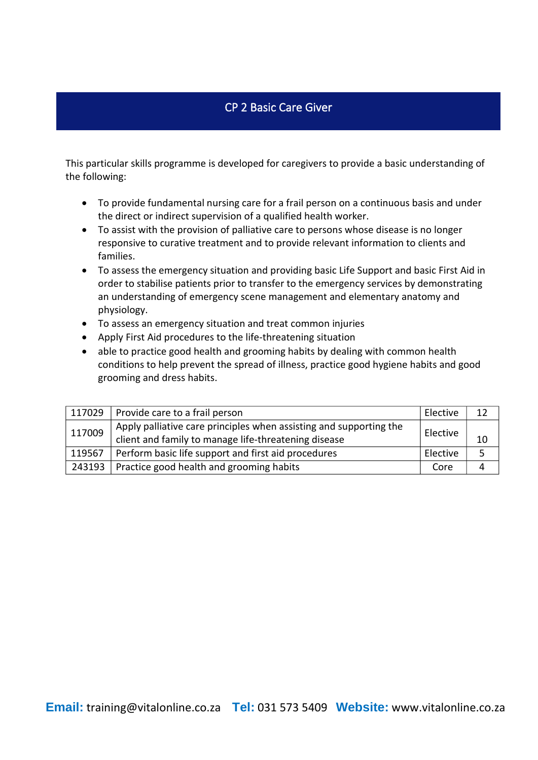#### CP 2 Basic Care Giver

- To provide fundamental nursing care for a frail person on a continuous basis and under the direct or indirect supervision of a qualified health worker.
- To assist with the provision of palliative care to persons whose disease is no longer responsive to curative treatment and to provide relevant information to clients and families.
- To assess the emergency situation and providing basic Life Support and basic First Aid in order to stabilise patients prior to transfer to the emergency services by demonstrating an understanding of emergency scene management and elementary anatomy and physiology.
- To assess an emergency situation and treat common injuries
- Apply First Aid procedures to the life-threatening situation
- able to practice good health and grooming habits by dealing with common health conditions to help prevent the spread of illness, practice good hygiene habits and good grooming and dress habits.

| 117029 | Provide care to a frail person                                                                                             | Elective |    |
|--------|----------------------------------------------------------------------------------------------------------------------------|----------|----|
| 117009 | Apply palliative care principles when assisting and supporting the<br>client and family to manage life-threatening disease | Elective | 10 |
| 119567 | Perform basic life support and first aid procedures                                                                        | Elective | 5  |
| 243193 | Practice good health and grooming habits                                                                                   | Core     | 4  |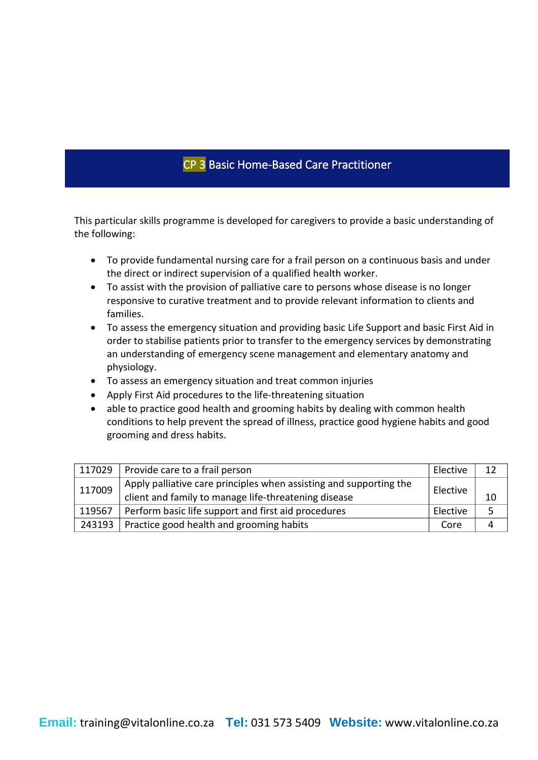# CP 3 Basic Home-Based Care Practitioner

- To provide fundamental nursing care for a frail person on a continuous basis and under the direct or indirect supervision of a qualified health worker.
- To assist with the provision of palliative care to persons whose disease is no longer responsive to curative treatment and to provide relevant information to clients and families.
- To assess the emergency situation and providing basic Life Support and basic First Aid in order to stabilise patients prior to transfer to the emergency services by demonstrating an understanding of emergency scene management and elementary anatomy and physiology.
- To assess an emergency situation and treat common injuries
- Apply First Aid procedures to the life-threatening situation
- able to practice good health and grooming habits by dealing with common health conditions to help prevent the spread of illness, practice good hygiene habits and good grooming and dress habits.

| 117029 | Provide care to a frail person                                                                                             | Elective |    |
|--------|----------------------------------------------------------------------------------------------------------------------------|----------|----|
| 117009 | Apply palliative care principles when assisting and supporting the<br>client and family to manage life-threatening disease | Elective | 10 |
| 119567 | Perform basic life support and first aid procedures                                                                        | Elective | 5  |
| 243193 | Practice good health and grooming habits                                                                                   | Core     |    |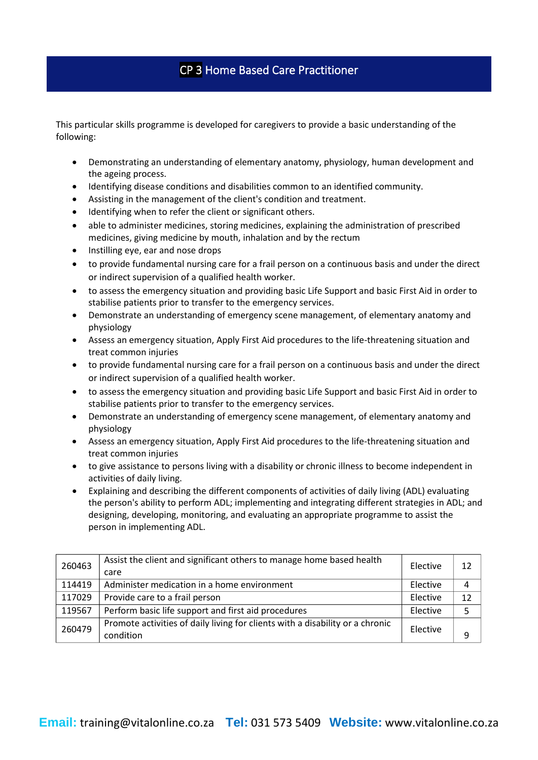## CP 3 Home Based Care Practitioner

- Demonstrating an understanding of elementary anatomy, physiology, human development and the ageing process.
- Identifying disease conditions and disabilities common to an identified community.
- Assisting in the management of the client's condition and treatment.
- Identifying when to refer the client or significant others.
- able to administer medicines, storing medicines, explaining the administration of prescribed medicines, giving medicine by mouth, inhalation and by the rectum
- Instilling eye, ear and nose drops
- to provide fundamental nursing care for a frail person on a continuous basis and under the direct or indirect supervision of a qualified health worker.
- to assess the emergency situation and providing basic Life Support and basic First Aid in order to stabilise patients prior to transfer to the emergency services.
- Demonstrate an understanding of emergency scene management, of elementary anatomy and physiology
- Assess an emergency situation, Apply First Aid procedures to the life-threatening situation and treat common injuries
- to provide fundamental nursing care for a frail person on a continuous basis and under the direct or indirect supervision of a qualified health worker.
- to assess the emergency situation and providing basic Life Support and basic First Aid in order to stabilise patients prior to transfer to the emergency services.
- Demonstrate an understanding of emergency scene management, of elementary anatomy and physiology
- Assess an emergency situation, Apply First Aid procedures to the life-threatening situation and treat common injuries
- to give assistance to persons living with a disability or chronic illness to become independent in activities of daily living.
- Explaining and describing the different components of activities of daily living (ADL) evaluating the person's ability to perform ADL; implementing and integrating different strategies in ADL; and designing, developing, monitoring, and evaluating an appropriate programme to assist the person in implementing ADL.

| 260463 | Assist the client and significant others to manage home based health<br>care  | Elective | 12 |
|--------|-------------------------------------------------------------------------------|----------|----|
| 114419 | Administer medication in a home environment                                   | Elective | 4  |
| 117029 | Provide care to a frail person                                                | Elective | 12 |
| 119567 | Perform basic life support and first aid procedures                           | Elective |    |
| 260479 | Promote activities of daily living for clients with a disability or a chronic | Elective |    |
|        | condition                                                                     |          | q  |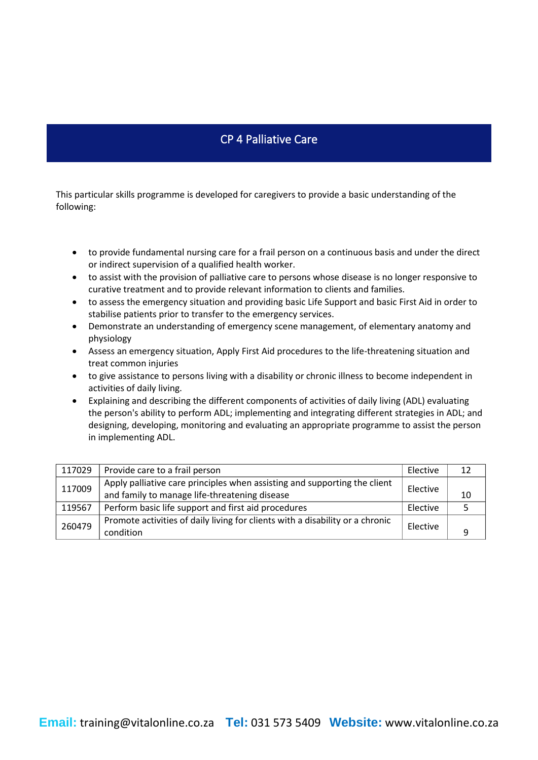## CP 4 Palliative Care

- to provide fundamental nursing care for a frail person on a continuous basis and under the direct or indirect supervision of a qualified health worker.
- to assist with the provision of palliative care to persons whose disease is no longer responsive to curative treatment and to provide relevant information to clients and families.
- to assess the emergency situation and providing basic Life Support and basic First Aid in order to stabilise patients prior to transfer to the emergency services.
- Demonstrate an understanding of emergency scene management, of elementary anatomy and physiology
- Assess an emergency situation, Apply First Aid procedures to the life-threatening situation and treat common injuries
- to give assistance to persons living with a disability or chronic illness to become independent in activities of daily living.
- Explaining and describing the different components of activities of daily living (ADL) evaluating the person's ability to perform ADL; implementing and integrating different strategies in ADL; and designing, developing, monitoring and evaluating an appropriate programme to assist the person in implementing ADL.

| 117029 | Provide care to a frail person                                                | Elective | 12 |
|--------|-------------------------------------------------------------------------------|----------|----|
| 117009 | Apply palliative care principles when assisting and supporting the client     | Elective |    |
|        | and family to manage life-threatening disease                                 |          | 10 |
| 119567 | Perform basic life support and first aid procedures                           | Elective |    |
| 260479 | Promote activities of daily living for clients with a disability or a chronic |          |    |
|        | condition                                                                     | Elective | ۵  |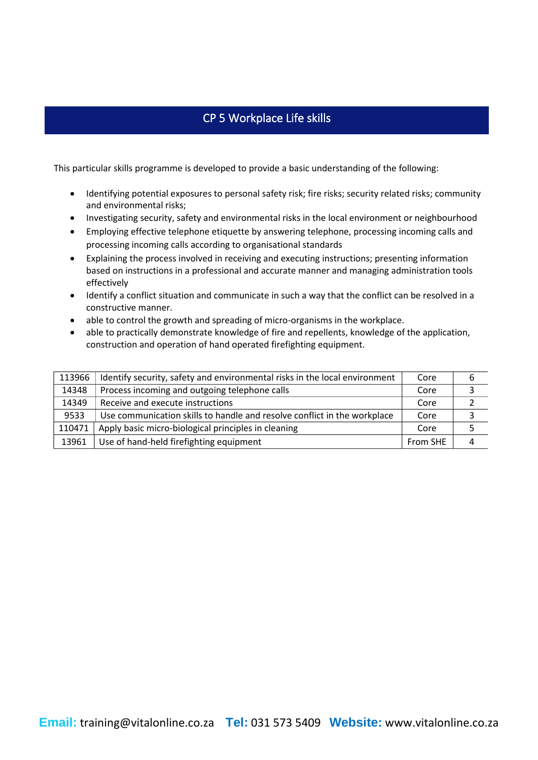## CP 5 Workplace Life skills

- Identifying potential exposures to personal safety risk; fire risks; security related risks; community and environmental risks;
- Investigating security, safety and environmental risks in the local environment or neighbourhood
- Employing effective telephone etiquette by answering telephone, processing incoming calls and processing incoming calls according to organisational standards
- Explaining the process involved in receiving and executing instructions; presenting information based on instructions in a professional and accurate manner and managing administration tools effectively
- Identify a conflict situation and communicate in such a way that the conflict can be resolved in a constructive manner.
- able to control the growth and spreading of micro-organisms in the workplace.
- able to practically demonstrate knowledge of fire and repellents, knowledge of the application, construction and operation of hand operated firefighting equipment.

| 113966 | Identify security, safety and environmental risks in the local environment | Core     | 6 |
|--------|----------------------------------------------------------------------------|----------|---|
| 14348  | Process incoming and outgoing telephone calls                              | Core     |   |
| 14349  | Receive and execute instructions                                           | Core     |   |
| 9533   | Use communication skills to handle and resolve conflict in the workplace   | Core     | 3 |
| 110471 | Apply basic micro-biological principles in cleaning                        | Core     |   |
| 13961  | Use of hand-held firefighting equipment                                    | From SHE | 4 |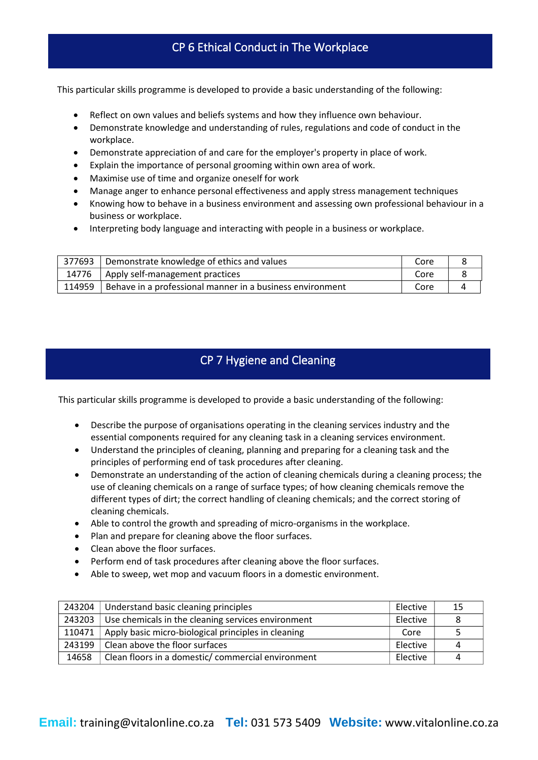#### CP 6 Ethical Conduct in The Workplace

This particular skills programme is developed to provide a basic understanding of the following:

- Reflect on own values and beliefs systems and how they influence own behaviour.
- Demonstrate knowledge and understanding of rules, regulations and code of conduct in the workplace.
- Demonstrate appreciation of and care for the employer's property in place of work.
- Explain the importance of personal grooming within own area of work.
- Maximise use of time and organize oneself for work
- Manage anger to enhance personal effectiveness and apply stress management techniques
- Knowing how to behave in a business environment and assessing own professional behaviour in a business or workplace.
- Interpreting body language and interacting with people in a business or workplace.

| 377693 i | Demonstrate knowledge of ethics and values                | Core |  |
|----------|-----------------------------------------------------------|------|--|
|          | 14776   Apply self-management practices                   | Core |  |
| 114959   | Behave in a professional manner in a business environment | Core |  |

#### CP 7 Hygiene and Cleaning

- Describe the purpose of organisations operating in the cleaning services industry and the essential components required for any cleaning task in a cleaning services environment.
- Understand the principles of cleaning, planning and preparing for a cleaning task and the principles of performing end of task procedures after cleaning.
- Demonstrate an understanding of the action of cleaning chemicals during a cleaning process; the use of cleaning chemicals on a range of surface types; of how cleaning chemicals remove the different types of dirt; the correct handling of cleaning chemicals; and the correct storing of cleaning chemicals.
- Able to control the growth and spreading of micro-organisms in the workplace.
- Plan and prepare for cleaning above the floor surfaces.
- Clean above the floor surfaces.
- Perform end of task procedures after cleaning above the floor surfaces.
- Able to sweep, wet mop and vacuum floors in a domestic environment.

| 243204 | Understand basic cleaning principles                | Elective | 15 |
|--------|-----------------------------------------------------|----------|----|
| 243203 | Use chemicals in the cleaning services environment  | Elective | 8  |
| 110471 | Apply basic micro-biological principles in cleaning | Core     | 5  |
| 243199 | Clean above the floor surfaces                      | Elective | 4  |
| 14658  | Clean floors in a domestic/commercial environment   | Elective | 4  |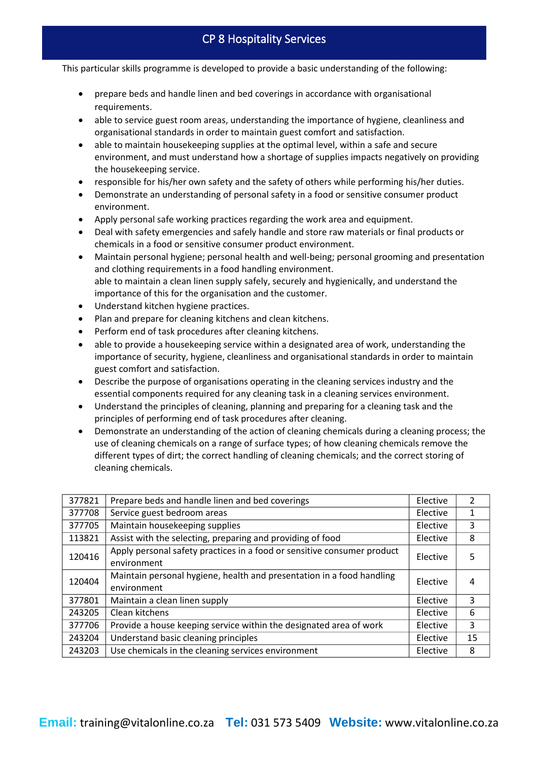- prepare beds and handle linen and bed coverings in accordance with organisational requirements.
- able to service guest room areas, understanding the importance of hygiene, cleanliness and organisational standards in order to maintain guest comfort and satisfaction.
- able to maintain housekeeping supplies at the optimal level, within a safe and secure environment, and must understand how a shortage of supplies impacts negatively on providing the housekeeping service.
- responsible for his/her own safety and the safety of others while performing his/her duties.
- Demonstrate an understanding of personal safety in a food or sensitive consumer product environment.
- Apply personal safe working practices regarding the work area and equipment.
- Deal with safety emergencies and safely handle and store raw materials or final products or chemicals in a food or sensitive consumer product environment.
- Maintain personal hygiene; personal health and well-being; personal grooming and presentation and clothing requirements in a food handling environment. able to maintain a clean linen supply safely, securely and hygienically, and understand the importance of this for the organisation and the customer.
- Understand kitchen hygiene practices.
- Plan and prepare for cleaning kitchens and clean kitchens.
- Perform end of task procedures after cleaning kitchens.
- able to provide a housekeeping service within a designated area of work, understanding the importance of security, hygiene, cleanliness and organisational standards in order to maintain guest comfort and satisfaction.
- Describe the purpose of organisations operating in the cleaning services industry and the essential components required for any cleaning task in a cleaning services environment.
- Understand the principles of cleaning, planning and preparing for a cleaning task and the principles of performing end of task procedures after cleaning.
- Demonstrate an understanding of the action of cleaning chemicals during a cleaning process; the use of cleaning chemicals on a range of surface types; of how cleaning chemicals remove the different types of dirt; the correct handling of cleaning chemicals; and the correct storing of cleaning chemicals.

| 377821 | Prepare beds and handle linen and bed coverings                         | Elective | $\overline{2}$ |
|--------|-------------------------------------------------------------------------|----------|----------------|
| 377708 | Service guest bedroom areas                                             | Elective | 1              |
| 377705 | Maintain housekeeping supplies                                          | Elective | 3              |
| 113821 | Assist with the selecting, preparing and providing of food              | Elective | 8              |
| 120416 | Apply personal safety practices in a food or sensitive consumer product | Elective | 5              |
|        | environment                                                             |          |                |
| 120404 | Maintain personal hygiene, health and presentation in a food handling   | Elective | 4              |
|        | environment                                                             |          |                |
| 377801 | Maintain a clean linen supply                                           | Elective | 3              |
| 243205 | Clean kitchens                                                          | Elective | 6              |
| 377706 | Provide a house keeping service within the designated area of work      | Elective | 3              |
| 243204 | Understand basic cleaning principles                                    | Elective | 15             |
| 243203 | Use chemicals in the cleaning services environment                      | Elective | 8              |